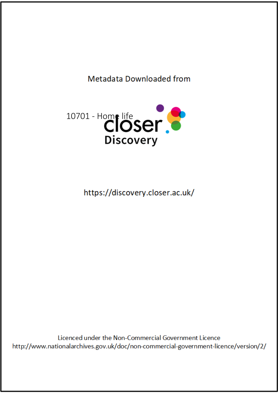# Metadata Downloaded from



https://discovery.closer.ac.uk/

Licenced under the Non-Commercial Government Licence http://www.nationalarchives.gov.uk/doc/non-commercial-government-licence/version/2/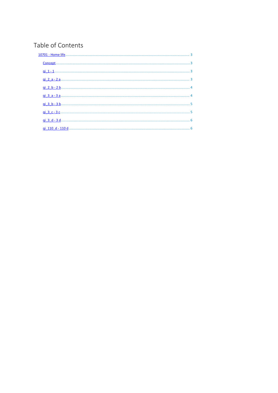# Table of Contents

| Concept             |  |
|---------------------|--|
|                     |  |
| <u>qi 2 a - 2 a</u> |  |
| <u>qi 2 b - 2 b</u> |  |
|                     |  |
|                     |  |
|                     |  |
|                     |  |
|                     |  |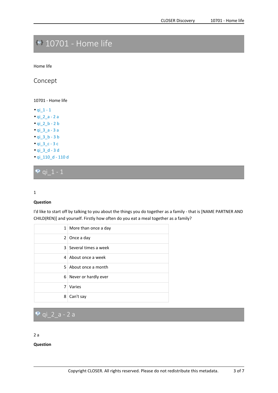# <span id="page-2-0"></span>**10701 - Home life**

Home life

**Concept**

10701 - Home life

• qi $_1$  - 1 • qi\_2\_a - 2 <sup>a</sup> • qi\_2\_b - 2 b • qi\_3\_a - 3 <sup>a</sup> • qi\_3\_b - 3 b • qi\_3\_c - 3 <sup>c</sup> • qi\_3\_d - 3 d • qi\_110\_d - 110 d

**qi\_1 - 1**

#### 1

#### **Question**

I'd like to start off by talking to you about the things you do together as <sup>a</sup> family - that is [NAME PARTNER AND CHILD(REN)] and yourself. Firstly how often do you eat <sup>a</sup> meal together as <sup>a</sup> family?

|   | 1   More than once a day |
|---|--------------------------|
|   | $2$ Once a day           |
|   | 3 Several times a week   |
|   | 4 About once a week      |
|   | 5 About once a month     |
|   | 6 Never or hardly ever   |
| 7 | Varies                   |
| 8 | Can't say                |

### **qi\_2\_a - 2 <sup>a</sup>**

2 a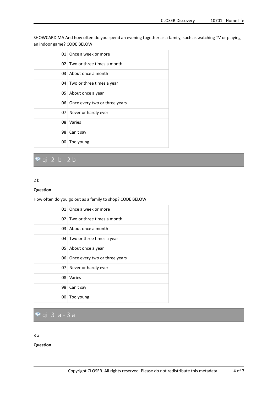<span id="page-3-0"></span>SHOWCARD MA And how often do you spend an evening together as <sup>a</sup> family, such as watching TV or playing an indoor game? CODE BELOW

| O1. | Once a week or more               |
|-----|-----------------------------------|
|     | $02$   Two or three times a month |
|     | 03 About once a month             |
|     | 04 Two or three times a year      |
|     | 05 About once a year              |
|     | 06 Once every two or three years  |
|     | 07 Never or hardly ever           |
| 08. | Varies                            |
| 98  | Can't say                         |
| 00  | Too young                         |

### **qi\_2\_b - 2 b**

#### 2 b

#### **Question**

How often do you go out as <sup>a</sup> family to shop? CODE BELOW

|    | 01 Once a week or more            |
|----|-----------------------------------|
|    | $02$   Two or three times a month |
|    | 03 About once a month             |
|    | 04 Two or three times a year      |
|    | 05 About once a year              |
|    | 06 Once every two or three years  |
|    | 07 Never or hardly ever           |
| 08 | Varies                            |
| 98 | Can't say                         |
| 00 | Too young                         |

## **qi\_3\_a - 3 <sup>a</sup>**

#### 3 a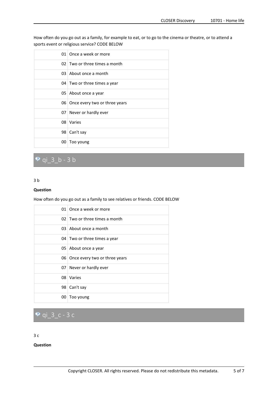<span id="page-4-0"></span>How often do you go out as <sup>a</sup> family, for example to eat, or to go to the cinema or theatre, or to attend <sup>a</sup> sports event or religious service? CODE BELOW

| 01  | Once a week or more               |
|-----|-----------------------------------|
|     | $02$   Two or three times a month |
| 03. | About once a month                |
|     | 04 Two or three times a year      |
|     | 05 About once a year              |
|     | 06 Once every two or three years  |
|     | 07 Never or hardly ever           |
| 08  | Varies                            |
| 98  | Can't say                         |
| 00  | Too young                         |

### **qi\_3\_b - 3 b**

#### 3 b

#### **Question**

How often do you go out as <sup>a</sup> family to see relatives or friends. CODE BELOW

|    | 01 Once a week or more           |
|----|----------------------------------|
|    | $02$ Two or three times a month  |
|    | 03 About once a month            |
|    | 04 Two or three times a year     |
|    | 05 About once a year             |
|    | 06 Once every two or three years |
|    | 07 Never or hardly ever          |
|    | 08 Varies                        |
|    | 98 Can't say                     |
| 00 | Too young                        |

**qi\_3\_c - 3 <sup>c</sup>**

#### $3<sub>c</sub>$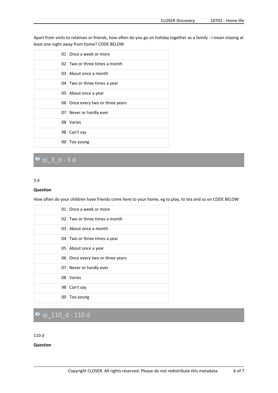<span id="page-5-0"></span>Apart from visits to relatives or friends, how often do you go on holiday together as <sup>a</sup> family - I mean staying at least one night away from home? CODE BELOW

|    | 01 Once a week or more           |
|----|----------------------------------|
|    | 02 Two or three times a month    |
|    | 03 About once a month            |
|    | 04 Two or three times a year     |
|    | 05 About once a year             |
|    | 06 Once every two or three years |
|    | 07 Never or hardly ever          |
| 08 | Varies                           |
|    | 98 Can't say                     |
| 00 | Too young                        |

### **qi\_3\_d - 3 d**

#### 3 d

#### **Question**

How often do your children have friends come here to your home, eg to play, to tea and so on CODE BELOW

|    | 01 Once a week or more           |
|----|----------------------------------|
|    | 02 Two or three times a month    |
|    | 03 About once a month            |
|    | 04 Two or three times a year     |
|    | 05 About once a year             |
|    | 06 Once every two or three years |
|    | 07 Never or hardly ever          |
|    | 08 Varies                        |
|    | 98 Can't say                     |
| 00 | Too young                        |

# **qi\_110\_d - 110 d**

#### 110 d